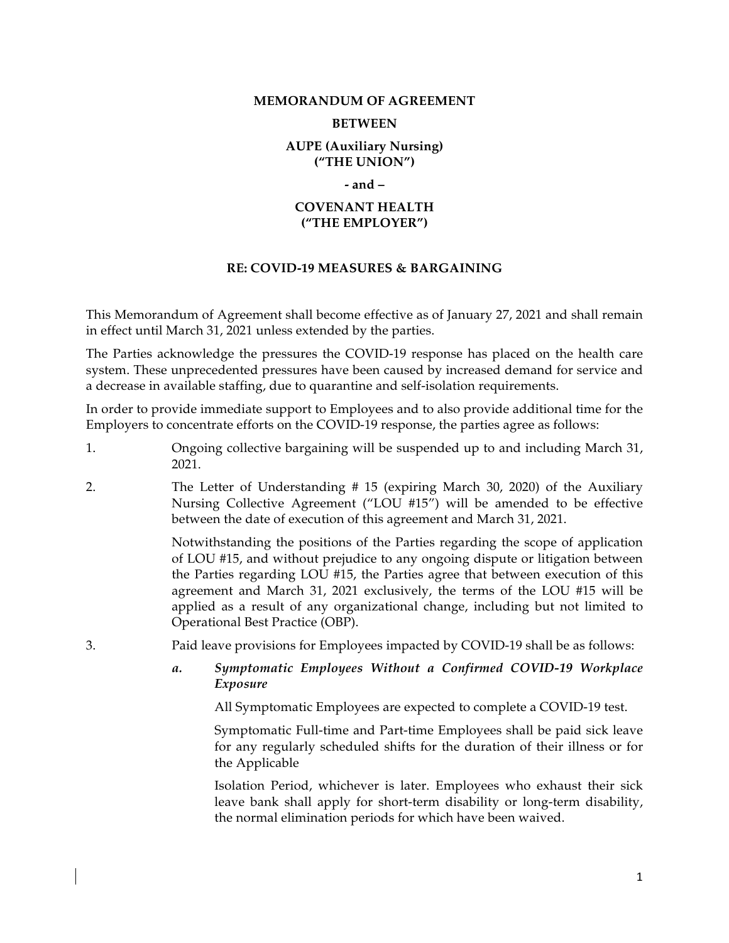# **MEMORANDUM OF AGREEMENT**

### **BETWEEN**

#### **AUPE (Auxiliary Nursing) ("THE UNION")**

#### **- and –**

#### **COVENANT HEALTH ("THE EMPLOYER")**

## **RE: COVID-19 MEASURES & BARGAINING**

This Memorandum of Agreement shall become effective as of January 27, 2021 and shall remain in effect until March 31, 2021 unless extended by the parties.

The Parties acknowledge the pressures the COVID-19 response has placed on the health care system. These unprecedented pressures have been caused by increased demand for service and a decrease in available staffing, due to quarantine and self-isolation requirements.

In order to provide immediate support to Employees and to also provide additional time for the Employers to concentrate efforts on the COVID-19 response, the parties agree as follows:

- 1. Ongoing collective bargaining will be suspended up to and including March 31, 2021.
- 2. The Letter of Understanding # 15 (expiring March 30, 2020) of the Auxiliary Nursing Collective Agreement ("LOU #15") will be amended to be effective between the date of execution of this agreement and March 31, 2021.

Notwithstanding the positions of the Parties regarding the scope of application of LOU #15, and without prejudice to any ongoing dispute or litigation between the Parties regarding LOU #15, the Parties agree that between execution of this agreement and March 31, 2021 exclusively, the terms of the LOU #15 will be applied as a result of any organizational change, including but not limited to Operational Best Practice (OBP).

- 3. Paid leave provisions for Employees impacted by COVID-19 shall be as follows:
	- *a. Symptomatic Employees Without a Confirmed COVID-19 Workplace Exposure*

All Symptomatic Employees are expected to complete a COVID-19 test.

Symptomatic Full-time and Part-time Employees shall be paid sick leave for any regularly scheduled shifts for the duration of their illness or for the Applicable

Isolation Period, whichever is later. Employees who exhaust their sick leave bank shall apply for short-term disability or long-term disability, the normal elimination periods for which have been waived.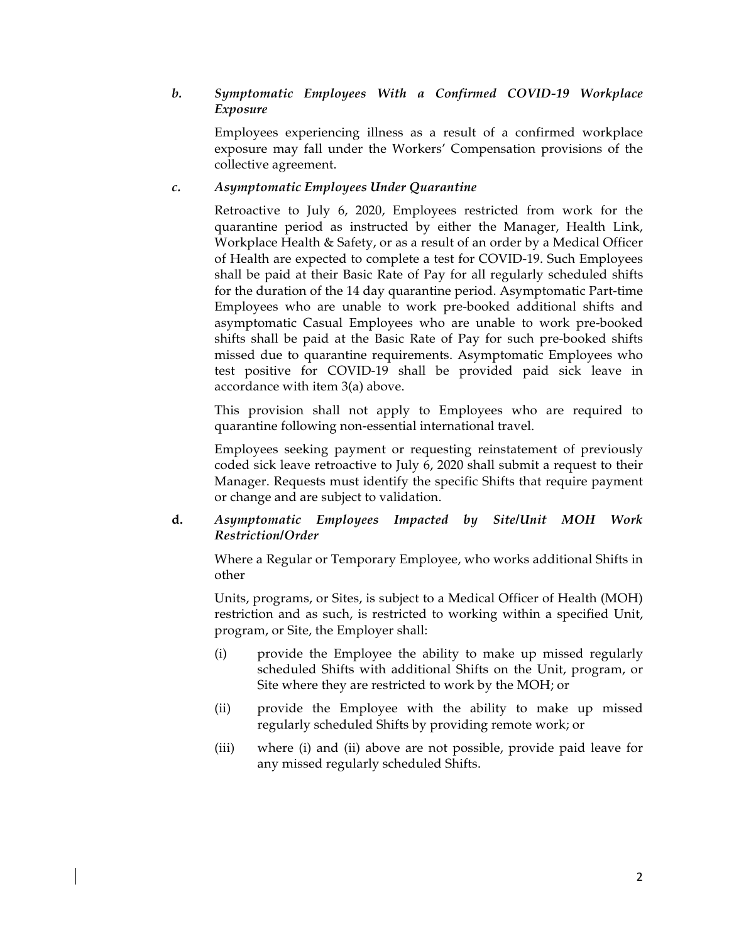## *b. Symptomatic Employees With a Confirmed COVID-19 Workplace Exposure*

Employees experiencing illness as a result of a confirmed workplace exposure may fall under the Workers' Compensation provisions of the collective agreement.

## *c. Asymptomatic Employees Under Quarantine*

Retroactive to July 6, 2020, Employees restricted from work for the quarantine period as instructed by either the Manager, Health Link, Workplace Health & Safety, or as a result of an order by a Medical Officer of Health are expected to complete a test for COVID-19. Such Employees shall be paid at their Basic Rate of Pay for all regularly scheduled shifts for the duration of the 14 day quarantine period. Asymptomatic Part-time Employees who are unable to work pre-booked additional shifts and asymptomatic Casual Employees who are unable to work pre-booked shifts shall be paid at the Basic Rate of Pay for such pre-booked shifts missed due to quarantine requirements. Asymptomatic Employees who test positive for COVID-19 shall be provided paid sick leave in accordance with item 3(a) above.

This provision shall not apply to Employees who are required to quarantine following non-essential international travel.

Employees seeking payment or requesting reinstatement of previously coded sick leave retroactive to July 6, 2020 shall submit a request to their Manager. Requests must identify the specific Shifts that require payment or change and are subject to validation.

## **d.** *Asymptomatic Employees Impacted by Site/Unit MOH Work Restriction/Order*

Where a Regular or Temporary Employee, who works additional Shifts in other

Units, programs, or Sites, is subject to a Medical Officer of Health (MOH) restriction and as such, is restricted to working within a specified Unit, program, or Site, the Employer shall:

- (i) provide the Employee the ability to make up missed regularly scheduled Shifts with additional Shifts on the Unit, program, or Site where they are restricted to work by the MOH; or
- (ii) provide the Employee with the ability to make up missed regularly scheduled Shifts by providing remote work; or
- (iii) where (i) and (ii) above are not possible, provide paid leave for any missed regularly scheduled Shifts.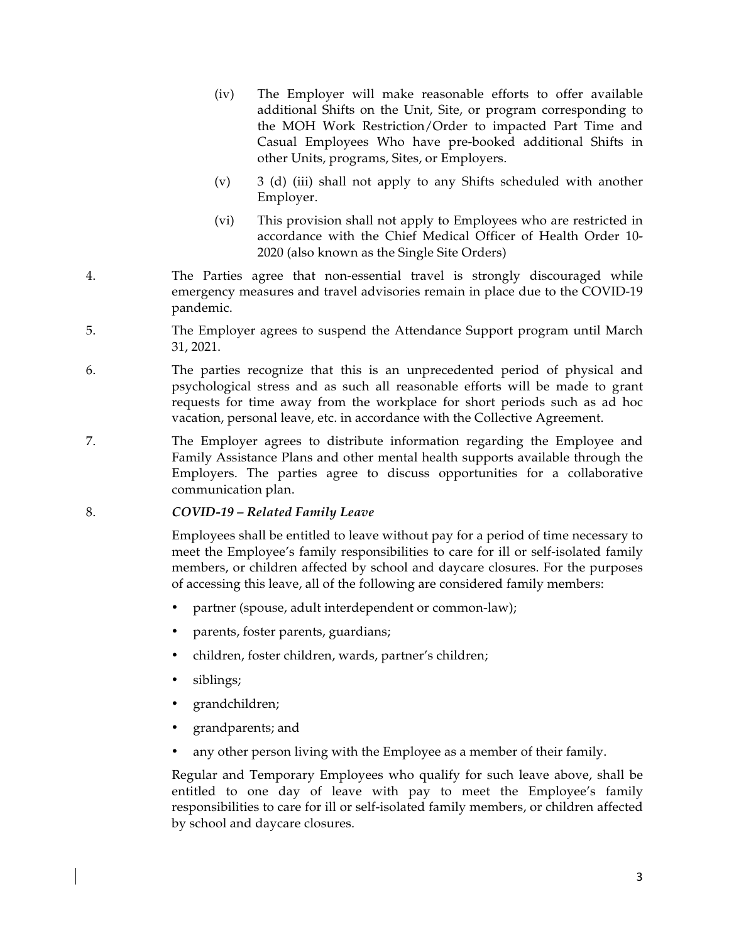- (iv) The Employer will make reasonable efforts to offer available additional Shifts on the Unit, Site, or program corresponding to the MOH Work Restriction/Order to impacted Part Time and Casual Employees Who have pre-booked additional Shifts in other Units, programs, Sites, or Employers.
- (v) 3 (d) (iii) shall not apply to any Shifts scheduled with another Employer.
- (vi) This provision shall not apply to Employees who are restricted in accordance with the Chief Medical Officer of Health Order 10- 2020 (also known as the Single Site Orders)
- 4. The Parties agree that non-essential travel is strongly discouraged while emergency measures and travel advisories remain in place due to the COVID-19 pandemic.
- 5. The Employer agrees to suspend the Attendance Support program until March 31, 2021.
- 6. The parties recognize that this is an unprecedented period of physical and psychological stress and as such all reasonable efforts will be made to grant requests for time away from the workplace for short periods such as ad hoc vacation, personal leave, etc. in accordance with the Collective Agreement.
- 7. The Employer agrees to distribute information regarding the Employee and Family Assistance Plans and other mental health supports available through the Employers. The parties agree to discuss opportunities for a collaborative communication plan.

#### 8. *COVID-19 – Related Family Leave*

Employees shall be entitled to leave without pay for a period of time necessary to meet the Employee's family responsibilities to care for ill or self-isolated family members, or children affected by school and daycare closures. For the purposes of accessing this leave, all of the following are considered family members:

- partner (spouse, adult interdependent or common-law);
- parents, foster parents, guardians;
- children, foster children, wards, partner's children;
- siblings;
- grandchildren;
- grandparents; and
- any other person living with the Employee as a member of their family.

Regular and Temporary Employees who qualify for such leave above, shall be entitled to one day of leave with pay to meet the Employee's family responsibilities to care for ill or self-isolated family members, or children affected by school and daycare closures.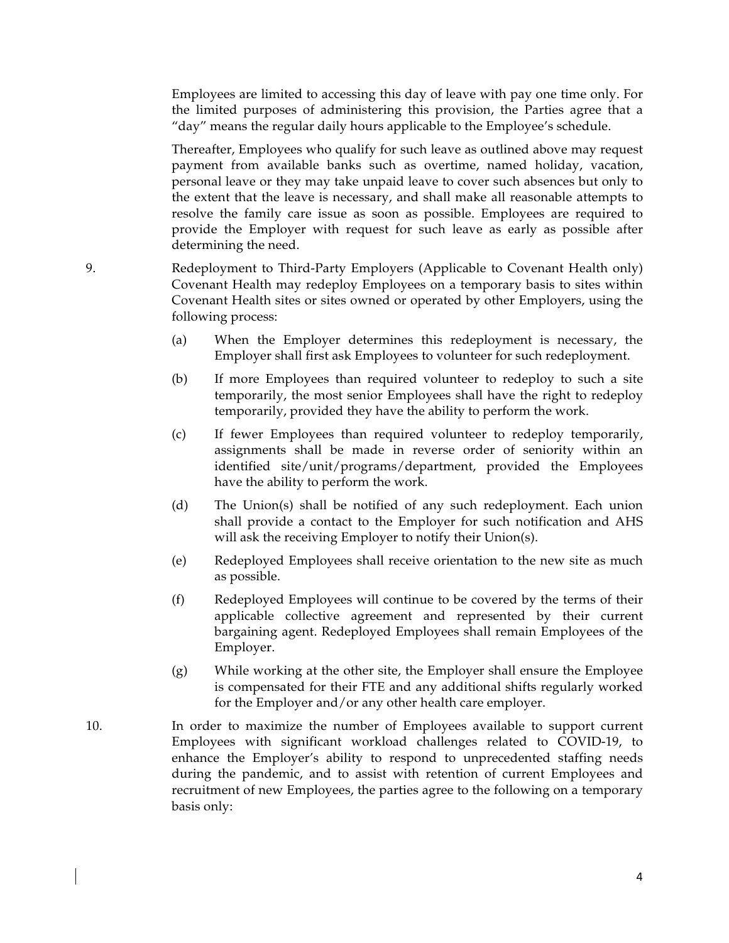Employees are limited to accessing this day of leave with pay one time only. For the limited purposes of administering this provision, the Parties agree that a "day" means the regular daily hours applicable to the Employee's schedule.

Thereafter, Employees who qualify for such leave as outlined above may request payment from available banks such as overtime, named holiday, vacation, personal leave or they may take unpaid leave to cover such absences but only to the extent that the leave is necessary, and shall make all reasonable attempts to resolve the family care issue as soon as possible. Employees are required to provide the Employer with request for such leave as early as possible after determining the need.

- 9. Redeployment to Third-Party Employers (Applicable to Covenant Health only) Covenant Health may redeploy Employees on a temporary basis to sites within Covenant Health sites or sites owned or operated by other Employers, using the following process:
	- (a) When the Employer determines this redeployment is necessary, the Employer shall first ask Employees to volunteer for such redeployment.
	- (b) If more Employees than required volunteer to redeploy to such a site temporarily, the most senior Employees shall have the right to redeploy temporarily, provided they have the ability to perform the work.
	- (c) If fewer Employees than required volunteer to redeploy temporarily, assignments shall be made in reverse order of seniority within an identified site/unit/programs/department, provided the Employees have the ability to perform the work.
	- (d) The Union(s) shall be notified of any such redeployment. Each union shall provide a contact to the Employer for such notification and AHS will ask the receiving Employer to notify their Union(s).
	- (e) Redeployed Employees shall receive orientation to the new site as much as possible.
	- (f) Redeployed Employees will continue to be covered by the terms of their applicable collective agreement and represented by their current bargaining agent. Redeployed Employees shall remain Employees of the Employer.
	- (g) While working at the other site, the Employer shall ensure the Employee is compensated for their FTE and any additional shifts regularly worked for the Employer and/or any other health care employer.
- 10. In order to maximize the number of Employees available to support current Employees with significant workload challenges related to COVID-19, to enhance the Employer's ability to respond to unprecedented staffing needs during the pandemic, and to assist with retention of current Employees and recruitment of new Employees, the parties agree to the following on a temporary basis only: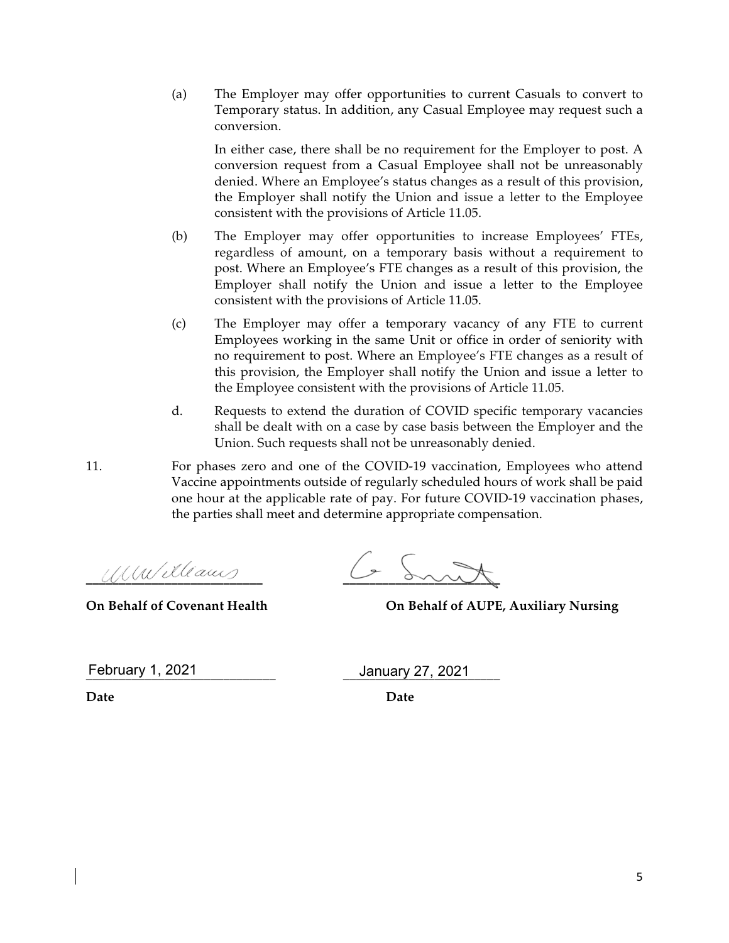(a) The Employer may offer opportunities to current Casuals to convert to Temporary status. In addition, any Casual Employee may request such a conversion.

In either case, there shall be no requirement for the Employer to post. A conversion request from a Casual Employee shall not be unreasonably denied. Where an Employee's status changes as a result of this provision, the Employer shall notify the Union and issue a letter to the Employee consistent with the provisions of Article 11.05.

- (b) The Employer may offer opportunities to increase Employees' FTEs, regardless of amount, on a temporary basis without a requirement to post. Where an Employee's FTE changes as a result of this provision, the Employer shall notify the Union and issue a letter to the Employee consistent with the provisions of Article 11.05.
- (c) The Employer may offer a temporary vacancy of any FTE to current Employees working in the same Unit or office in order of seniority with no requirement to post. Where an Employee's FTE changes as a result of this provision, the Employer shall notify the Union and issue a letter to the Employee consistent with the provisions of Article 11.05.
- d. Requests to extend the duration of COVID specific temporary vacancies shall be dealt with on a case by case basis between the Employer and the Union. Such requests shall not be unreasonably denied.
- 11. For phases zero and one of the COVID-19 vaccination, Employees who attend Vaccine appointments outside of regularly scheduled hours of work shall be paid one hour at the applicable rate of pay. For future COVID-19 vaccination phases, the parties shall meet and determine appropriate compensation.

**––––––––––––––––––––––––––– ––––––––––––––––––––––––**

 $\sqrt{2}$ 

**On Behalf of Covenant Health On Behalf of AUPE, Auxiliary Nursing**

**\_\_\_\_\_\_\_\_\_\_\_\_\_\_\_\_\_\_\_\_\_\_\_\_\_\_\_\_\_ \_\_\_\_\_\_\_\_\_\_\_\_\_\_\_\_\_\_\_\_\_\_\_\_** February 1, 2021 January 27, 2021

**Date** Date Date